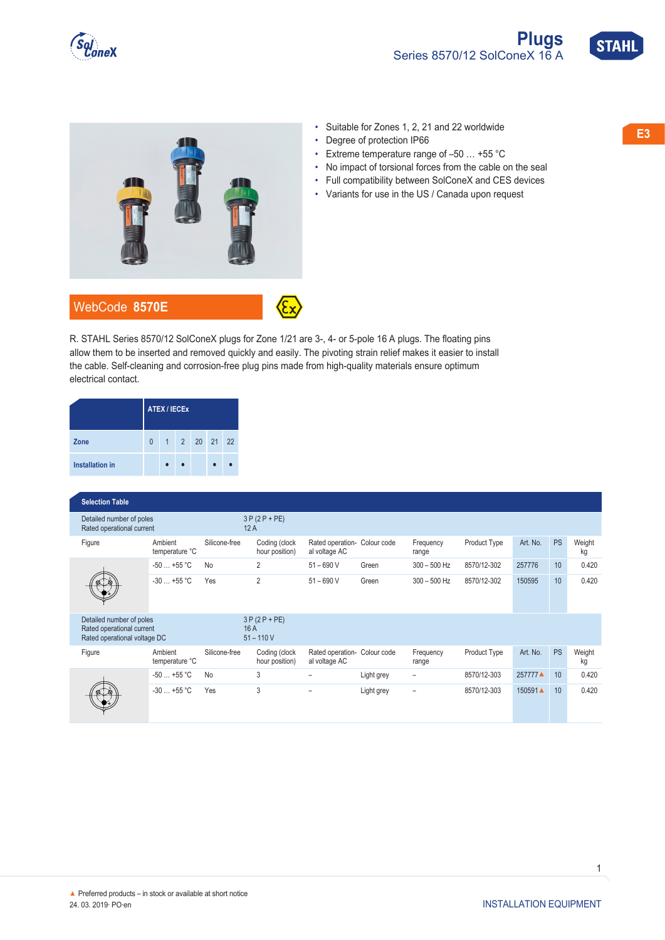





- 
- Degree of protection IP66
- Extreme temperature range of –50 … +55 °C
- No impact of torsional forces from the cable on the seal
- Full compatibility between SolConeX and CES devices
- Variants for use in the US / Canada upon request

R. STAHL Series 8570/12 SolConeX plugs for Zone 1/21 are 3-, 4- or 5-pole 16 A plugs. The floating pins allow them to be inserted and removed quickly and easily. The pivoting strain relief makes it easier to install the cable. Self-cleaning and corrosion-free plug pins made from high-quality materials ensure optimum electrical contact.

|                        | <b>ATEX / IECEX</b> |  |  |           |  |    |  |  |  |  |  |
|------------------------|---------------------|--|--|-----------|--|----|--|--|--|--|--|
| Zone                   | $\overline{0}$      |  |  | 1 2 20 21 |  | 22 |  |  |  |  |  |
| <b>Installation in</b> |                     |  |  |           |  |    |  |  |  |  |  |

| <b>Selection Table</b>                                                                |                           |               |                                    |                                               |             |                          |                     |          |           |              |
|---------------------------------------------------------------------------------------|---------------------------|---------------|------------------------------------|-----------------------------------------------|-------------|--------------------------|---------------------|----------|-----------|--------------|
| Detailed number of poles<br>Rated operational current                                 |                           |               | $3P(2P+PE)$<br>12A                 |                                               |             |                          |                     |          |           |              |
| Figure                                                                                | Ambient<br>temperature °C | Silicone-free | Coding (clock<br>hour position)    | Rated operation-<br>al voltage AC             | Colour code | Frequency<br>range       | Product Type        | Art. No. | <b>PS</b> | Weight<br>kg |
|                                                                                       | $-50+55$ °C               | <b>No</b>     | $\overline{2}$                     | $51 - 690$ V                                  | Green       | $300 - 500$ Hz           | 8570/12-302         | 257776   | 10        | 0.420        |
|                                                                                       | $-30+55$ °C               | Yes           | $\overline{2}$                     | $51 - 690$ V                                  | Green       | $300 - 500$ Hz           | 8570/12-302         | 150595   | 10        | 0.420        |
| Detailed number of poles<br>Rated operational current<br>Rated operational voltage DC |                           |               | $3P(2P+PE)$<br>16 A<br>$51 - 110V$ |                                               |             |                          |                     |          |           |              |
| Figure                                                                                | Ambient<br>temperature °C | Silicone-free | Coding (clock<br>hour position)    | Rated operation- Colour code<br>al voltage AC |             | Frequency<br>range       | <b>Product Type</b> | Art. No. | <b>PS</b> | Weight<br>kg |
|                                                                                       | $-50+55$ °C               | No            | 3                                  |                                               | Light grey  | $\overline{\phantom{0}}$ | 8570/12-303         | 257777▲  | 10        | 0.420        |
|                                                                                       | $-30+55$ °C               | Yes           | 3                                  |                                               | Light grey  | $\overline{\phantom{0}}$ | 8570/12-303         | 150591▲  | 10        | 0.420        |

1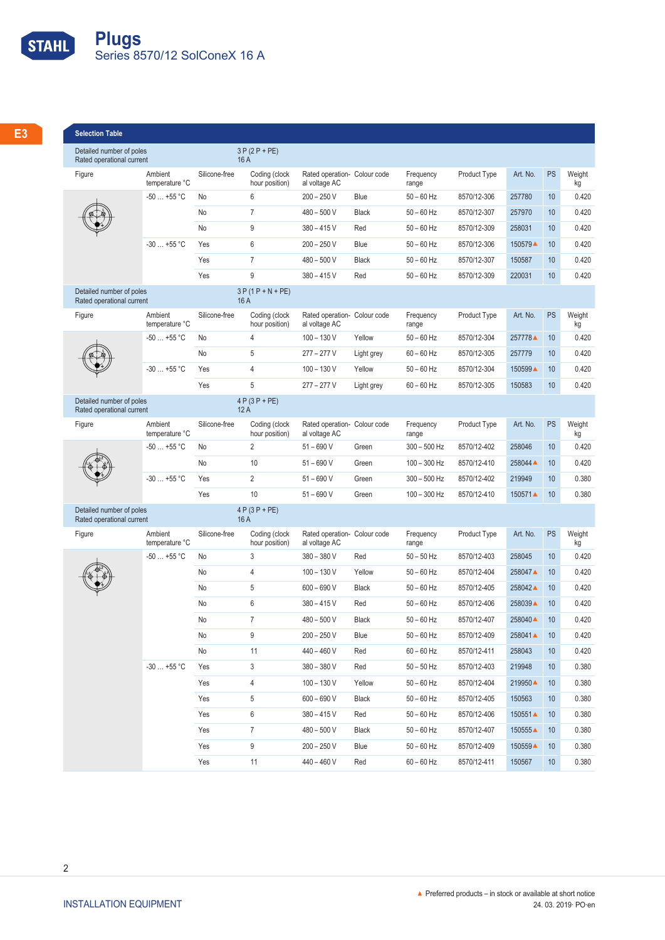

| <b>Selection Table</b>                                  |                               |               |                                 |                                               |                              |                       |                            |                     |    |              |
|---------------------------------------------------------|-------------------------------|---------------|---------------------------------|-----------------------------------------------|------------------------------|-----------------------|----------------------------|---------------------|----|--------------|
| Detailed number of poles<br>Rated operational current   |                               |               | $3P(2P+PE)$<br>16 A             |                                               |                              |                       |                            |                     |    |              |
| Figure                                                  | Ambient<br>temperature °C     | Silicone-free | Coding (clock<br>hour position) | al voltage AC                                 | Rated operation- Colour code | Frequency<br>range    | Product Type               | Art. No. PS         |    | Weight<br>kg |
|                                                         | $-50+55$ °C                   | No            |                                 | $200 - 250$ V                                 | Blue                         | $50 - 60$ Hz          | 8570/12-306                | 257780              | 10 | 0.420        |
| $\begin{pmatrix} 1 & 1 \\ 1 & 1 \end{pmatrix}$          |                               | No            | $\overline{7}$                  | $480 - 500 V$                                 | Black                        | $50 - 60$ Hz          | 8570/12-307                | 257970              | 10 | 0.420        |
|                                                         |                               | No            | -9                              | $380 - 415$ V                                 | Red                          | $50 - 60$ Hz          | 8570/12-309                | 258031              | 10 | 0.420        |
|                                                         | $-30+55$ °C                   | Yes           | ჩ                               | $200 - 250 V$                                 | Blue                         | $50 - 60$ Hz          | 8570/12-306                | 150579▲             | 10 | 0.420        |
|                                                         |                               | Yes           | $\overline{7}$                  | $480 - 500 V$                                 | Black                        | $50 - 60$ Hz          | 8570/12-307                | 150587              | 10 | 0.420        |
|                                                         |                               | Yes           | 9                               | $380 - 415$ V                                 | Red                          | $50 - 60$ Hz          | 8570/12-309                | 220031              | 10 | 0.420        |
| Detailed number of poles<br>Rated operational current   |                               |               | $3P(1P+N+PE)$<br>16A            |                                               |                              |                       |                            |                     |    |              |
| Figure                                                  | Ambient<br>temperature °C     | Silicone-free | Coding (clock<br>hour position) | al voltage AC                                 | Rated operation- Colour code | Frequency<br>range    | Product Type               | Art. No. PS         |    | Weight<br>kg |
|                                                         | $-50+55$ °C No                |               | $\overline{4}$                  | $100 - 130 V$                                 | Yellow                       | $50 - 60$ Hz          | 8570/12-304                | 257778▲             | 10 | 0.420        |
| $\begin{pmatrix} 1 & 1 \\ 1 & 1 \end{pmatrix}$          |                               | No            | -5                              | $277 - 277$ V                                 | Light grey                   | $60 - 60$ Hz          | 8570/12-305                | 257779              | 10 | 0.420        |
|                                                         | $-30+55$ °C Yes               |               | $\overline{4}$                  | $100 - 130 V$                                 | Yellow                       | $50 - 60$ Hz          | 8570/12-304                | 150599▲             | 10 | 0.420        |
|                                                         |                               | Yes           | $-5$                            | $277 - 277$ V                                 | Light grey                   | $60 - 60$ Hz          | 8570/12-305                | 150583              | 10 | 0.420        |
| Detailed number of poles<br>Rated operational current   |                               |               | $4 P (3 P + P E)$<br>12A        |                                               |                              |                       |                            |                     |    |              |
| Figure                                                  | Ambient<br>temperature °C     | Silicone-free | Coding (clock<br>hour position) | Rated operation- Colour code<br>al voltage AC |                              | Frequency<br>range    | Product Type               | Art. No. PS         |    | Weight<br>kg |
|                                                         | $-50+55$ °C                   | No            | $\mathcal{P}$                   | $51 - 690V$                                   | Green                        | $300 - 500$ Hz        | 8570/12-402                | 258046              | 10 | 0.420        |
| $(36 + 8)$                                              |                               | No            | 10                              | $51 - 690$ V                                  | Green                        | $100 - 300$ Hz        | 8570/12-410                | 258044 ▲            | 10 | 0.420        |
| $\bullet$                                               | $-30+55$ °C                   | Yes           | $\overline{2}$                  | $51 - 690$ V                                  | Green                        | $300 - 500$ Hz        | 8570/12-402                | 219949              | 10 | 0.380        |
|                                                         |                               | Yes           | 10                              | $51 - 690V$                                   | Green                        | 100 - 300 Hz          | 8570/12-410                | 150571▲             | 10 | 0.380        |
| Detailed number of poles<br>Rated operational current   |                               |               | $4 P (3 P + P E)$<br>16 A       |                                               |                              |                       |                            |                     |    |              |
| Figure                                                  | Ambient                       | Silicone-free | Coding (clock                   |                                               | Rated operation- Colour code | Frequency             | Product Type               | Art. No. PS         |    | Weight       |
|                                                         | temperature °C<br>$-50+55$ °C | No            | hour position)<br>$\mathcal{R}$ | al voltage AC<br>$380 - 380$ V                | Red                          | range<br>$50 - 50$ Hz | 8570/12-403                | 258045              | 10 | kg<br>0.420  |
|                                                         |                               |               | $\overline{4}$                  |                                               | Yellow                       | $50 - 60$ Hz          |                            |                     | 10 | 0.420        |
| $\begin{pmatrix} 6 & 0 \\ 0 & 0 \\ 0 & 0 \end{pmatrix}$ |                               | No<br>No      | -5                              | $100 - 130V$<br>$600 - 690 V$                 | Black                        | $50 - 60$ Hz          | 8570/12-404<br>8570/12-405 | 258047 ▲<br>258042▲ | 10 | 0.420        |
|                                                         |                               | No            |                                 | $380 - 415$ V                                 | Red                          | $50 - 60$ Hz          | 8570/12-406                | 258039▲ 10          |    | 0.420        |
|                                                         |                               | No            |                                 | 480 - 500 V Black                             |                              | $50 - 60$ Hz          | 8570/12-407                | 258040 10 0.420     |    |              |
|                                                         |                               | No            | 9                               | 200 - 250 V Blue                              |                              | 50 – 60 Hz            | 8570/12-409                | 258041▲ 10          |    | 0.420        |
|                                                         |                               | No            | 11                              | 440 - 460 V Red                               |                              | $60 - 60$ Hz          | 8570/12-411                | 258043 10 0.420     |    |              |
|                                                         | $-30+55$ °C Yes               |               | 3                               | 380 - 380 V Red                               |                              | $50 - 50$ Hz          | 8570/12-403                | 219948 10           |    | 0.380        |
|                                                         |                               | Yes           | $\overline{4}$                  | 100 - 130 V Yellow                            |                              | $50 - 60$ Hz          | 8570/12-404                | 219950 10 0.380     |    |              |
|                                                         |                               | Yes           | 5 <sup>5</sup>                  | 600 - 690 V Black                             |                              | $50 - 60$ Hz          | 8570/12-405                | 150563 10           |    | 0.380        |
|                                                         |                               | Yes           | 6                               | 380 - 415 V Red                               |                              | $50 - 60$ Hz          | 8570/12-406                | 150551▲ 10          |    | 0.380        |
|                                                         |                               | Yes           | $7\overline{ }$                 | 480 - 500 V Black                             |                              | 50 – 60 Hz            | 8570/12-407                | 150555▲ 10          |    | 0.380        |
|                                                         |                               | Yes           | 9                               | 200 - 250 V Blue                              |                              | $50 - 60$ Hz          | 8570/12-409                | 150559▲ 10          |    | 0.380        |
|                                                         |                               | Yes           | 11                              | 440 - 460 V Red                               |                              | $60 - 60$ Hz          | 8570/12-411                | 150567 10 0.380     |    |              |
|                                                         |                               |               |                                 |                                               |                              |                       |                            |                     |    |              |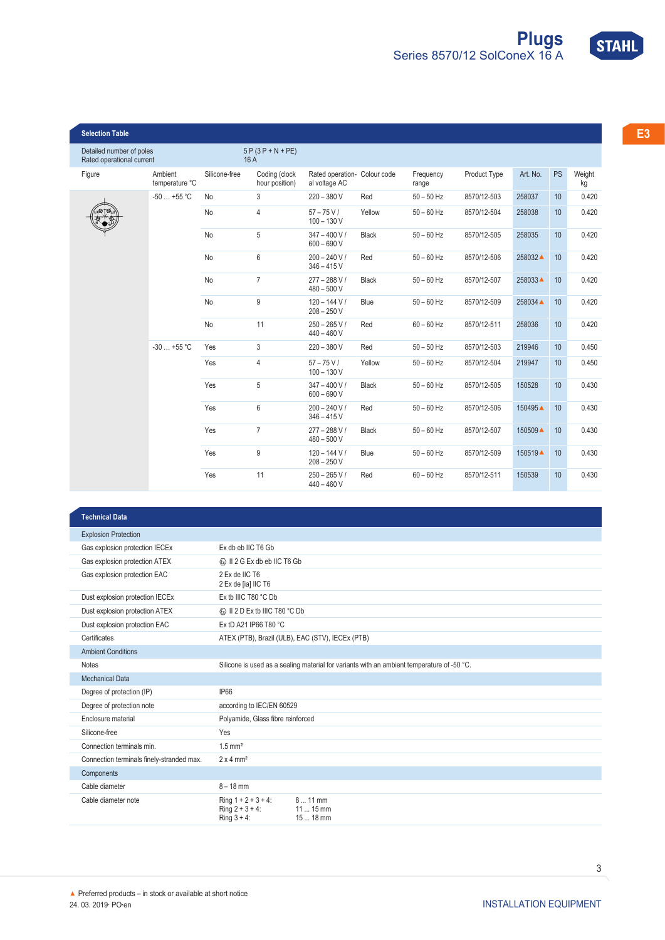



|              |          |              |                    |        |                                               |                                 |               |                           | <b>Selection Table</b>                                |
|--------------|----------|--------------|--------------------|--------|-----------------------------------------------|---------------------------------|---------------|---------------------------|-------------------------------------------------------|
|              |          |              |                    |        |                                               | $5P(3P+N+PE)$<br>16 A           |               |                           | Detailed number of poles<br>Rated operational current |
| PS<br>Weight | Art. No. | Product Type | Frequency<br>range |        | Rated operation- Colour code<br>al voltage AC | Coding (clock<br>hour position) | Silicone-free | Ambient<br>temperature °C | Figure                                                |
| 10           | 258037   | 8570/12-503  | $50 - 50$ Hz       | Red    | $220 - 380$ V                                 | -3                              |               | $-50+55 °C$ No            |                                                       |
| 10           | 258038   | 8570/12-504  | $50 - 60$ Hz       | Yellow | $57 - 75 V/$<br>$100 - 130 V$                 | $\boldsymbol{\Delta}$           | No            |                           | $\frac{1}{2}$                                         |
| 10           | 258035   | 8570/12-505  | $50 - 60$ Hz       | Black  | $347 - 400 V/$<br>$600 - 690 V$               | -5                              | No            |                           |                                                       |
| 10           | 258032▲  | 8570/12-506  | $50 - 60$ Hz       | Red    | $200 - 240 V/$<br>$346 - 415V$                | 6                               | No            |                           |                                                       |
| 10           | 258033▲  | 8570/12-507  | $50 - 60$ Hz       | Black  | $277 - 288 V/$<br>$480 - 500 V$               |                                 | No            |                           |                                                       |
| 10           | 258034 ▲ | 8570/12-509  | $50 - 60$ Hz       | Blue   | $120 - 144 V/$<br>$208 - 250V$                | $\mathbf{q}$                    | No            |                           |                                                       |
| 10           | 258036   | 8570/12-511  | $60 - 60$ Hz       | Red    | $250 - 265 V/$<br>$440 - 460$ V               | 11                              | No            |                           |                                                       |
| 10           | 219946   | 8570/12-503  | $50 - 50$ Hz       | Red    | $220 - 380V$                                  | 3                               | Yes           | $-30+55$ °C               |                                                       |
| 10           | 219947   | 8570/12-504  | $50 - 60$ Hz       | Yellow | $57 - 75 V/$<br>$100 - 130 V$                 | $\overline{4}$                  | Yes           |                           |                                                       |
| 10           | 150528   | 8570/12-505  | $50 - 60$ Hz       | Black  | $347 - 400 V/$<br>$600 - 690 V$               | -5                              | Yes           |                           |                                                       |
| 10           | 150495▲  | 8570/12-506  | $50 - 60$ Hz       | Red    | $200 - 240 V/$<br>$346 - 415V$                | 6                               | Yes           |                           |                                                       |
| 10           | 150509▲  | 8570/12-507  | $50 - 60$ Hz       | Black  | $277 - 288 V/$<br>$480 - 500 V$               |                                 | Yes           |                           |                                                       |
| 10           | 150519▲  | 8570/12-509  | $50 - 60$ Hz       |        | 120 - 144 V / Blue<br>$208 - 250V$            | 9                               | Yes           |                           |                                                       |
| 10           | 150539   | 8570/12-511  | $60 - 60$ Hz       | Red    | $250 - 265 V/$                                | 11                              | Yes           |                           |                                                       |

| <b>Technical Data</b>                     |                                                                                                    |  |  |  |  |  |  |
|-------------------------------------------|----------------------------------------------------------------------------------------------------|--|--|--|--|--|--|
| <b>Explosion Protection</b>               |                                                                                                    |  |  |  |  |  |  |
| Gas explosion protection IECEx            | Ex db eb IIC T6 Gb                                                                                 |  |  |  |  |  |  |
| Gas explosion protection ATEX             | <b>&amp; II 2 G Ex db eb IIC T6 Gb</b>                                                             |  |  |  |  |  |  |
| Gas explosion protection EAC              | 2 Ex de IIC T6<br>2 Ex de [ia] IIC T6                                                              |  |  |  |  |  |  |
| Dust explosion protection IECEx           | Ex tb IIIC T80 °C Db                                                                               |  |  |  |  |  |  |
| Dust explosion protection ATEX            | <b>&amp; II 2 D Ex tb IIIC T80 °C Db</b>                                                           |  |  |  |  |  |  |
| Dust explosion protection EAC             | Ex tD A21 IP66 T80 °C                                                                              |  |  |  |  |  |  |
| Certificates                              | ATEX (PTB), Brazil (ULB), EAC (STV), IECEx (PTB)                                                   |  |  |  |  |  |  |
| <b>Ambient Conditions</b>                 |                                                                                                    |  |  |  |  |  |  |
| Notes                                     | Silicone is used as a sealing material for variants with an ambient temperature of -50 °C.         |  |  |  |  |  |  |
| Mechanical Data                           |                                                                                                    |  |  |  |  |  |  |
| Degree of protection (IP)                 | <b>IP66</b>                                                                                        |  |  |  |  |  |  |
| Degree of protection note                 | according to IEC/EN 60529                                                                          |  |  |  |  |  |  |
| Enclosure material                        | Polyamide, Glass fibre reinforced                                                                  |  |  |  |  |  |  |
| Silicone-free                             | Yes                                                                                                |  |  |  |  |  |  |
| Connection terminals min.                 | $1.5$ mm <sup>2</sup>                                                                              |  |  |  |  |  |  |
| Connection terminals finely-stranded max. | $2 \times 4$ mm <sup>2</sup>                                                                       |  |  |  |  |  |  |
| Components                                |                                                                                                    |  |  |  |  |  |  |
| Cable diameter                            | $8 - 18$ mm                                                                                        |  |  |  |  |  |  |
| Cable diameter note                       | $811$ mm<br>$Ring 1 + 2 + 3 + 4:$<br>$Ring 2 + 3 + 4:$<br>$1115$ mm<br>Ring $3 + 4$ :<br>15  18 mm |  |  |  |  |  |  |

440 – 460 V

3